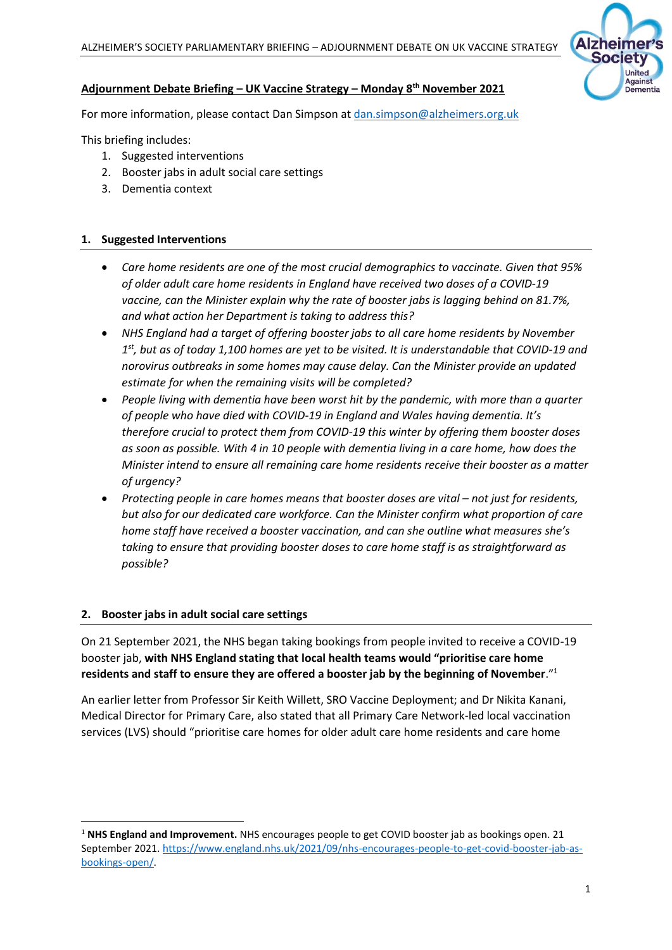

## **Adjournment Debate Briefing – UK Vaccine Strategy – Monday 8th November 2021**

For more information, please contact Dan Simpson at dan.simpson@alzheimers.org.uk

This briefing includes:

- 1. Suggested interventions
- 2. Booster jabs in adult social care settings
- 3. Dementia context

## **1. Suggested Interventions**

- *Care home residents are one of the most crucial demographics to vaccinate. Given that 95% of older adult care home residents in England have received two doses of a COVID-19 vaccine, can the Minister explain why the rate of booster jabs is lagging behind on 81.7%, and what action her Department is taking to address this?*
- *NHS England had a target of offering booster jabs to all care home residents by November 1 st, but as of today 1,100 homes are yet to be visited. It is understandable that COVID-19 and norovirus outbreaks in some homes may cause delay. Can the Minister provide an updated estimate for when the remaining visits will be completed?*
- *People living with dementia have been worst hit by the pandemic, with more than a quarter of people who have died with COVID-19 in England and Wales having dementia. It's therefore crucial to protect them from COVID-19 this winter by offering them booster doses as soon as possible. With 4 in 10 people with dementia living in a care home, how does the Minister intend to ensure all remaining care home residents receive their booster as a matter of urgency?*
- Protecting people in care homes means that booster doses are vital not just for residents, *but also for our dedicated care workforce. Can the Minister confirm what proportion of care home staff have received a booster vaccination, and can she outline what measures she's taking to ensure that providing booster doses to care home staff is as straightforward as possible?*

## **2. Booster jabs in adult social care settings**

On 21 September 2021, the NHS began taking bookings from people invited to receive a COVID-19 booster jab, **with NHS England stating that local health teams would "prioritise care home residents and staff to ensure they are offered a booster jab by the beginning of November**."<sup>1</sup>

An earlier letter from Professor Sir Keith Willett, SRO Vaccine Deployment; and Dr Nikita Kanani, Medical Director for Primary Care, also stated that all Primary Care Network-led local vaccination services (LVS) should "prioritise care homes for older adult care home residents and care home

<sup>1</sup> **NHS England and Improvement.** NHS encourages people to get COVID booster jab as bookings open. 21 September 2021. [https://www.england.nhs.uk/2021/09/nhs-encourages-people-to-get-covid-booster-jab-as](https://www.england.nhs.uk/2021/09/nhs-encourages-people-to-get-covid-booster-jab-as-bookings-open/)[bookings-open/.](https://www.england.nhs.uk/2021/09/nhs-encourages-people-to-get-covid-booster-jab-as-bookings-open/)